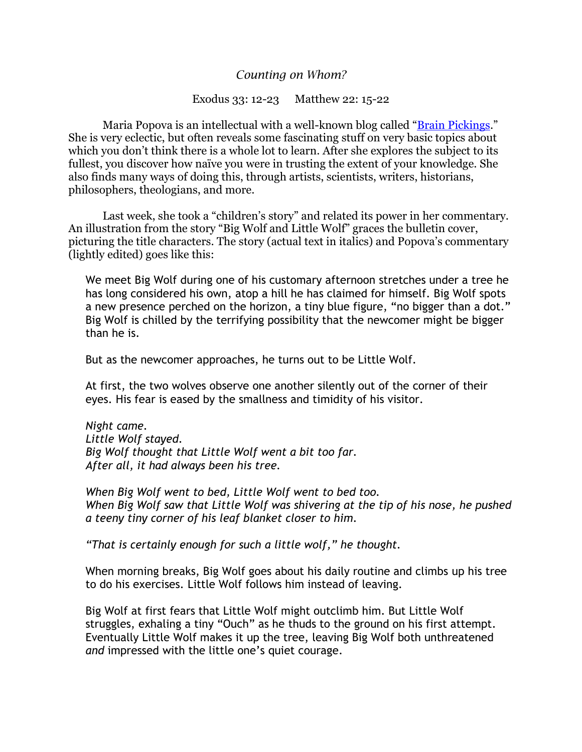## *Counting on Whom?*

## Exodus 33: 12-23 Matthew 22: 15-22

 Maria Popova is an intellectual with a well-known blog called "[Brain Pickings.](https://www.brainpickings.org/2017/10/12/big-wolf-little-wolf/)" She is very eclectic, but often reveals some fascinating stuff on very basic topics about which you don't think there is a whole lot to learn. After she explores the subject to its fullest, you discover how naïve you were in trusting the extent of your knowledge. She also finds many ways of doing this, through artists, scientists, writers, historians, philosophers, theologians, and more.

Last week, she took a "children's story" and related its power in her commentary. An illustration from the story "Big Wolf and Little Wolf" graces the bulletin cover, picturing the title characters. The story (actual text in italics) and Popova's commentary (lightly edited) goes like this:

We meet Big Wolf during one of his customary afternoon stretches under a tree he has long considered his own, atop a hill he has claimed for himself. Big Wolf spots a new presence perched on the horizon, a tiny blue figure, "no bigger than a dot." Big Wolf is chilled by the terrifying possibility that the newcomer might be bigger than he is.

But as the newcomer approaches, he turns out to be Little Wolf.

At first, the two wolves observe one another silently out of the corner of their eyes. His fear is eased by the smallness and timidity of his visitor.

*Night came. Little Wolf stayed. Big Wolf thought that Little Wolf went a bit too far. After all, it had always been his tree.*

*When Big Wolf went to bed, Little Wolf went to bed too. When Big Wolf saw that Little Wolf was shivering at the tip of his nose, he pushed a teeny tiny corner of his leaf blanket closer to him.*

*"That is certainly enough for such a little wolf," he thought.*

When morning breaks, Big Wolf goes about his daily routine and climbs up his tree to do his exercises. Little Wolf follows him instead of leaving.

Big Wolf at first fears that Little Wolf might outclimb him. But Little Wolf struggles, exhaling a tiny "Ouch" as he thuds to the ground on his first attempt. Eventually Little Wolf makes it up the tree, leaving Big Wolf both unthreatened *and* impressed with the little one's quiet courage.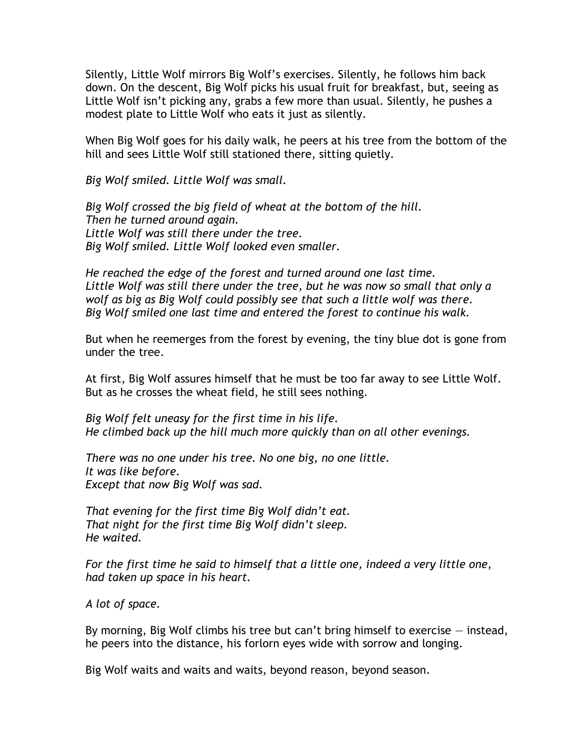Silently, Little Wolf mirrors Big Wolf's exercises. Silently, he follows him back down. On the descent, Big Wolf picks his usual fruit for breakfast, but, seeing as Little Wolf isn't picking any, grabs a few more than usual. Silently, he pushes a modest plate to Little Wolf who eats it just as silently.

When Big Wolf goes for his daily walk, he peers at his tree from the bottom of the hill and sees Little Wolf still stationed there, sitting quietly.

*Big Wolf smiled. Little Wolf was small.*

*Big Wolf crossed the big field of wheat at the bottom of the hill. Then he turned around again. Little Wolf was still there under the tree. Big Wolf smiled. Little Wolf looked even smaller.*

*He reached the edge of the forest and turned around one last time. Little Wolf was still there under the tree, but he was now so small that only a wolf as big as Big Wolf could possibly see that such a little wolf was there. Big Wolf smiled one last time and entered the forest to continue his walk.*

But when he reemerges from the forest by evening, the tiny blue dot is gone from under the tree.

At first, Big Wolf assures himself that he must be too far away to see Little Wolf. But as he crosses the wheat field, he still sees nothing.

*Big Wolf felt uneasy for the first time in his life. He climbed back up the hill much more quickly than on all other evenings.*

*There was no one under his tree. No one big, no one little. It was like before. Except that now Big Wolf was sad.*

*That evening for the first time Big Wolf didn't eat. That night for the first time Big Wolf didn't sleep. He waited.*

*For the first time he said to himself that a little one, indeed a very little one, had taken up space in his heart.*

*A lot of space.*

By morning, Big Wolf climbs his tree but can't bring himself to exercise — instead, he peers into the distance, his forlorn eyes wide with sorrow and longing.

Big Wolf waits and waits and waits, beyond reason, beyond season.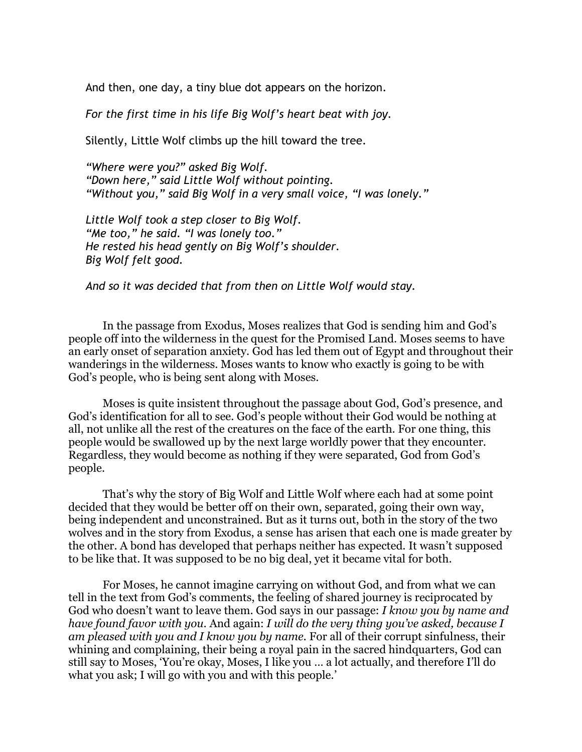And then, one day, a tiny blue dot appears on the horizon.

*For the first time in his life Big Wolf's heart beat with joy.*

Silently, Little Wolf climbs up the hill toward the tree.

*"Where were you?" asked Big Wolf. "Down here," said Little Wolf without pointing. "Without you," said Big Wolf in a very small voice, "I was lonely."*

*Little Wolf took a step closer to Big Wolf. "Me too," he said. "I was lonely too." He rested his head gently on Big Wolf's shoulder. Big Wolf felt good.*

*And so it was decided that from then on Little Wolf would stay.*

In the passage from Exodus, Moses realizes that God is sending him and God's people off into the wilderness in the quest for the Promised Land. Moses seems to have an early onset of separation anxiety. God has led them out of Egypt and throughout their wanderings in the wilderness. Moses wants to know who exactly is going to be with God's people, who is being sent along with Moses.

Moses is quite insistent throughout the passage about God, God's presence, and God's identification for all to see. God's people without their God would be nothing at all, not unlike all the rest of the creatures on the face of the earth. For one thing, this people would be swallowed up by the next large worldly power that they encounter. Regardless, they would become as nothing if they were separated, God from God's people.

That's why the story of Big Wolf and Little Wolf where each had at some point decided that they would be better off on their own, separated, going their own way, being independent and unconstrained. But as it turns out, both in the story of the two wolves and in the story from Exodus, a sense has arisen that each one is made greater by the other. A bond has developed that perhaps neither has expected. It wasn't supposed to be like that. It was supposed to be no big deal, yet it became vital for both.

For Moses, he cannot imagine carrying on without God, and from what we can tell in the text from God's comments, the feeling of shared journey is reciprocated by God who doesn't want to leave them. God says in our passage: *I know you by name and have found favor with you.* And again: *I will do the very thing you've asked, because I am pleased with you and I know you by name.* For all of their corrupt sinfulness, their whining and complaining, their being a royal pain in the sacred hindquarters, God can still say to Moses, 'You're okay, Moses, I like you … a lot actually, and therefore I'll do what you ask; I will go with you and with this people.'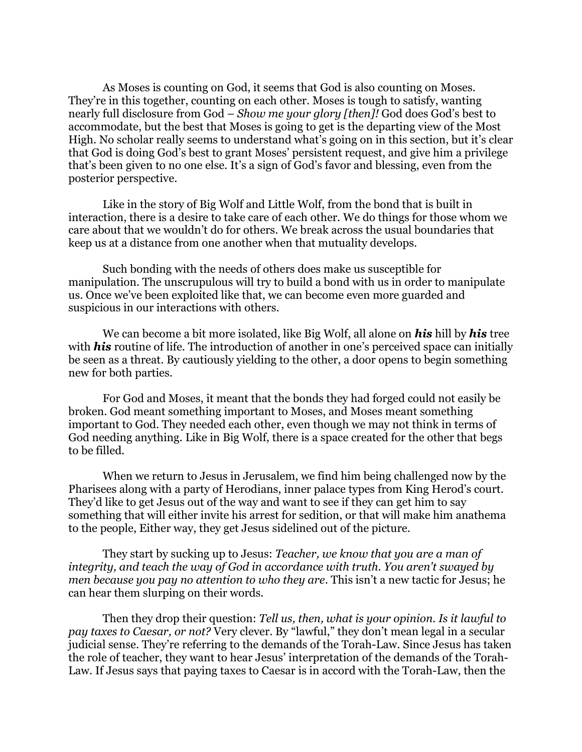As Moses is counting on God, it seems that God is also counting on Moses. They're in this together, counting on each other. Moses is tough to satisfy, wanting nearly full disclosure from God – *Show me your glory [then]!* God does God's best to accommodate, but the best that Moses is going to get is the departing view of the Most High. No scholar really seems to understand what's going on in this section, but it's clear that God is doing God's best to grant Moses' persistent request, and give him a privilege that's been given to no one else. It's a sign of God's favor and blessing, even from the posterior perspective.

Like in the story of Big Wolf and Little Wolf, from the bond that is built in interaction, there is a desire to take care of each other. We do things for those whom we care about that we wouldn't do for others. We break across the usual boundaries that keep us at a distance from one another when that mutuality develops.

Such bonding with the needs of others does make us susceptible for manipulation. The unscrupulous will try to build a bond with us in order to manipulate us. Once we've been exploited like that, we can become even more guarded and suspicious in our interactions with others.

We can become a bit more isolated, like Big Wolf, all alone on *his* hill by *his* tree with *his* routine of life. The introduction of another in one's perceived space can initially be seen as a threat. By cautiously yielding to the other, a door opens to begin something new for both parties.

For God and Moses, it meant that the bonds they had forged could not easily be broken. God meant something important to Moses, and Moses meant something important to God. They needed each other, even though we may not think in terms of God needing anything. Like in Big Wolf, there is a space created for the other that begs to be filled.

When we return to Jesus in Jerusalem, we find him being challenged now by the Pharisees along with a party of Herodians, inner palace types from King Herod's court. They'd like to get Jesus out of the way and want to see if they can get him to say something that will either invite his arrest for sedition, or that will make him anathema to the people, Either way, they get Jesus sidelined out of the picture.

They start by sucking up to Jesus: *Teacher, we know that you are a man of integrity, and teach the way of God in accordance with truth. You aren't swayed by men because you pay no attention to who they are*. This isn't a new tactic for Jesus; he can hear them slurping on their words.

Then they drop their question: *Tell us, then, what is your opinion. Is it lawful to pay taxes to Caesar, or not?* Very clever. By "lawful," they don't mean legal in a secular judicial sense. They're referring to the demands of the Torah-Law. Since Jesus has taken the role of teacher, they want to hear Jesus' interpretation of the demands of the Torah-Law. If Jesus says that paying taxes to Caesar is in accord with the Torah-Law, then the